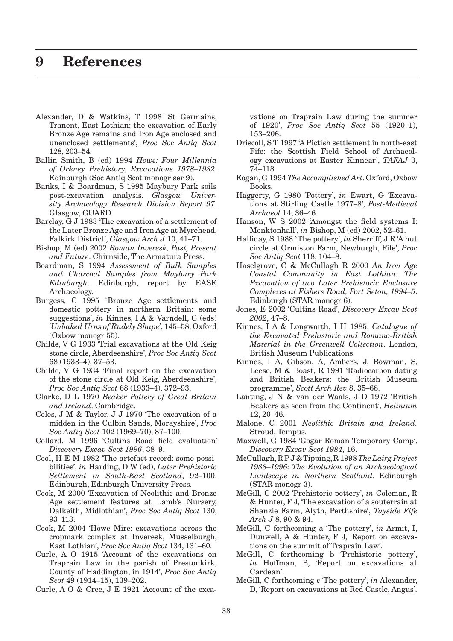- Alexander, D & Watkins, T 1998 'St Germains, Tranent, East Lothian: the excavation of Early Bronze Age remains and Iron Age enclosed and unenclosed settlements', *Proc Soc Antiq Scot*  128, 203–54.
- Ballin Smith, B (ed) 1994 *Howe: Four Millennia of Orkney Prehistory, Excavations 1978–1982*. Edinburgh (Soc Antiq Scot monogr ser 9).
- Banks, I & Boardman, S 1995 Maybury Park soils post-excavation analysis. *Glasgow University Archaeology Research Division Report 97*. Glasgow, GUARD.
- Barclay, G J 1983 'The excavation of a settlement of the Later Bronze Age and Iron Age at Myrehead, Falkirk District', *Glasgow Arch J* 10, 41–71.
- Bishop, M (ed) 2002 *Roman Inveresk, Past, Present and Future*. Chirnside, The Armatura Press.
- Boardman, S 1994 *Assessment of Bulk Samples and Charcoal Samples from Maybury Park Edinburgh*. Edinburgh, report by EASE Archaeology.
- Burgess, C 1995 `Bronze Age settlements and domestic pottery in northern Britain: some suggestions', *in* Kinnes, I A & Varndell, G (eds) *'Unbaked Urns of Rudely Shape'*, 145–58. Oxford (Oxbow monogr 55).
- Childe, V G 1933 'Trial excavations at the Old Keig stone circle, Aberdeenshire', *Proc Soc Antiq Scot*  68 (1933–4), 37–53.
- Childe, V G 1934 'Final report on the excavation of the stone circle at Old Keig, Aberdeenshire', *Proc Soc Antiq Scot* 68 (1933–4), 372–93.
- Clarke, D L 1970 *Beaker Pottery of Great Britain and Ireland*. Cambridge.
- Coles, J M & Taylor, J J 1970 'The excavation of a midden in the Culbin Sands, Morayshire', *Proc Soc Antiq Scot* 102 (1969–70), 87–100.
- Collard, M 1996 'Cultins Road field evaluation' *Discovery Excav Scot 1996*, 38–9.
- Cool, H E M 1982 'The artefact record: some possibilities', *in* Harding, D W (ed), *Later Prehistoric Settlement in South-East Scotland*, 92–100. Edinburgh, Edinburgh University Press.
- Cook, M 2000 'Excavation of Neolithic and Bronze Age settlement features at Lamb's Nursery, Dalkeith, Midlothian', *Proc Soc Antiq Scot* 130, 93–113.
- Cook, M 2004 'Howe Mire: excavations across the cropmark complex at Inveresk, Musselburgh, East Lothian', *Proc Soc Antiq Scot* 134, 131–60.
- Curle, A O 1915 'Account of the excavations on Traprain Law in the parish of Prestonkirk, County of Haddington, in 1914', *Proc Soc Antiq Scot* 49 (1914–15), 139–202.
- Curle, A O & Cree, J E 1921 'Account of the exca-

vations on Traprain Law during the summer of 1920', *Proc Soc Antiq Scot* 55 (1920–1), 153–206.

- Driscoll, S T 1997 'A Pictish settlement in north-east Fife: the Scottish Field School of Archaeology excavations at Easter Kinnear', *TAFAJ* 3, 74–118
- Eogan, G 1994 *The Accomplished Art*. Oxford, Oxbow Books.
- Haggerty, G 1980 'Pottery', *in* Ewart, G 'Excavations at Stirling Castle 1977–8', *Post-Medieval Archaeol* 14, 36–46.
- Hanson, W S 2002 'Amongst the field systems I: Monktonhall', *in* Bishop, M (ed) 2002, 52–61.
- Halliday, S 1988 `The pottery', *in* Sherriff, J R 'A hut circle at Ormiston Farm, Newburgh, Fife', *Proc Soc Antiq Scot* 118, 104–8.
- Haselgrove, C & McCullagh R 2000 *An Iron Age Coastal Community in East Lothian: The Excavation of two Later Prehistoric Enclosure Complexes at Fishers Road, Port Seton, 1994–5*. Edinburgh (STAR monogr 6).
- Jones, E 2002 'Cultins Road', *Discovery Excav Scot 2002*, 47–8.
- Kinnes, I A & Longworth, I H 1985. *Catalogue of the Excavated Prehistoric and Romano-British Material in the Greenwell Collection*. London, British Museum Publications.
- Kinnes, I A, Gibson, A, Ambers, J, Bowman, S, Leese, M & Boast, R 1991 'Radiocarbon dating and British Beakers: the British Museum programme', *Scott Arch Rev* 8, 35–68.
- Lanting, J N & van der Waals, J D 1972 'British Beakers as seen from the Continent', *Helinium* 12, 20–46.
- Malone, C 2001 *Neolithic Britain and Ireland.* Stroud, Tempus.
- Maxwell, G 1984 'Gogar Roman Temporary Camp', *Discovery Excav Scot 1984*, 16.
- McCullagh, R P J & Tipping, R 1998 *The Lairg Project 1988–1996: The Evolution of an Archaeological Landscape in Northern Scotland*. Edinburgh (STAR monogr 3).
- McGill, C 2002 'Prehistoric pottery', *in* Coleman, R & Hunter, F J, 'The excavation of a souterrain at Shanzie Farm, Alyth, Perthshire', *Tayside Fife Arch J* 8, 90 & 94.
- McGill, C forthcoming a 'The pottery', *in* Armit, I, Dunwell, A & Hunter, F J, 'Report on excavations on the summit of Traprain Law'.
- McGill, C forthcoming b 'Prehistoric pottery', *in* Hoffman, B, 'Report on excavations at Cardean'.
- McGill, C forthcoming c 'The pottery', *in* Alexander, D, 'Report on excavations at Red Castle, Angus'.